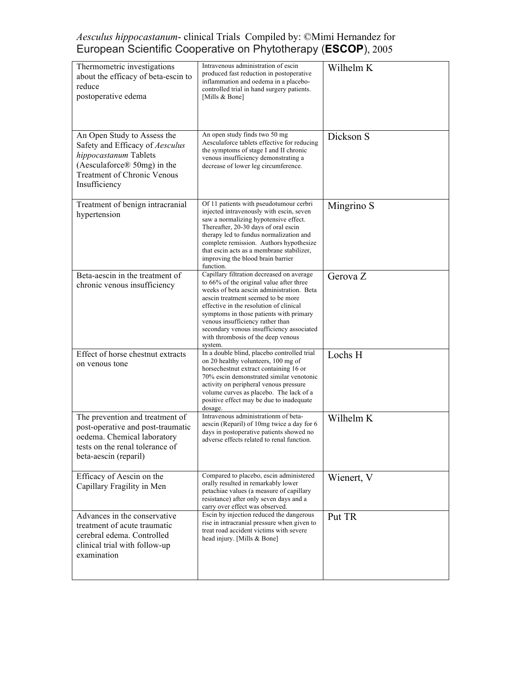| Thermometric investigations<br>about the efficacy of beta-escin to<br>reduce<br>postoperative edema                                                                                | Intravenous administration of escin<br>produced fast reduction in postoperative<br>inflammation and oedema in a placebo-<br>controlled trial in hand surgery patients.<br>[Mills & Bone]                                                                                                                                                                                                         | Wilhelm K  |
|------------------------------------------------------------------------------------------------------------------------------------------------------------------------------------|--------------------------------------------------------------------------------------------------------------------------------------------------------------------------------------------------------------------------------------------------------------------------------------------------------------------------------------------------------------------------------------------------|------------|
| An Open Study to Assess the<br>Safety and Efficacy of Aesculus<br>hippocastanum Tablets<br>(Aesculaforce $\mathcal D$ 50mg) in the<br>Treatment of Chronic Venous<br>Insufficiency | An open study finds two 50 mg<br>Aesculaforce tablets effective for reducing<br>the symptoms of stage I and II chronic<br>venous insufficiency demonstrating a<br>decrease of lower leg circumference.                                                                                                                                                                                           | Dickson S  |
| Treatment of benign intracranial<br>hypertension                                                                                                                                   | Of 11 patients with pseudotumour cerbri<br>injected intravenously with escin, seven<br>saw a normalizing hypotensive effect.<br>Thereafter, 20-30 days of oral escin<br>therapy led to fundus normalization and<br>complete remission. Authors hypothesize<br>that escin acts as a membrane stabilizer,<br>improving the blood brain barrier<br>function.                                        | Mingrino S |
| Beta-aescin in the treatment of<br>chronic venous insufficiency                                                                                                                    | Capillary filtration decreased on average<br>to 66% of the original value after three<br>weeks of beta aescin administration. Beta<br>aescin treatment seemed to be more<br>effective in the resolution of clinical<br>symptoms in those patients with primary<br>venous insufficiency rather than<br>secondary venous insufficiency associated<br>with thrombosis of the deep venous<br>system. | Gerova Z   |
| Effect of horse chestnut extracts<br>on venous tone                                                                                                                                | In a double blind, placebo controlled trial<br>on 20 healthy volunteers, 100 mg of<br>horsechest nut extract containing 16 or<br>70% escin demonstrated similar venotonic<br>activity on peripheral venous pressure<br>volume curves as placebo. The lack of a<br>positive effect may be due to inadequate<br>dosage.                                                                            | Lochs H    |
| The prevention and treatment of<br>post-operative and post-traumatic<br>oedema. Chemical laboratory<br>tests on the renal tolerance of<br>beta-aescin (reparil)                    | Intravenous administrationm of beta-<br>aescin (Reparil) of 10mg twice a day for 6<br>days in postoperative patients showed no<br>adverse effects related to renal function.                                                                                                                                                                                                                     | Wilhelm K  |
| Efficacy of Aescin on the<br>Capillary Fragility in Men                                                                                                                            | Compared to placebo, escin administered<br>orally resulted in remarkably lower<br>petachiae values (a measure of capillary<br>resistance) after only seven days and a<br>carry over effect was observed.                                                                                                                                                                                         | Wienert, V |
| Advances in the conservative<br>treatment of acute traumatic<br>cerebral edema. Controlled<br>clinical trial with follow-up<br>examination                                         | Escin by injection reduced the dangerous<br>rise in intracranial pressure when given to<br>treat road accident victims with severe<br>head injury. [Mills & Bone]                                                                                                                                                                                                                                | Put TR     |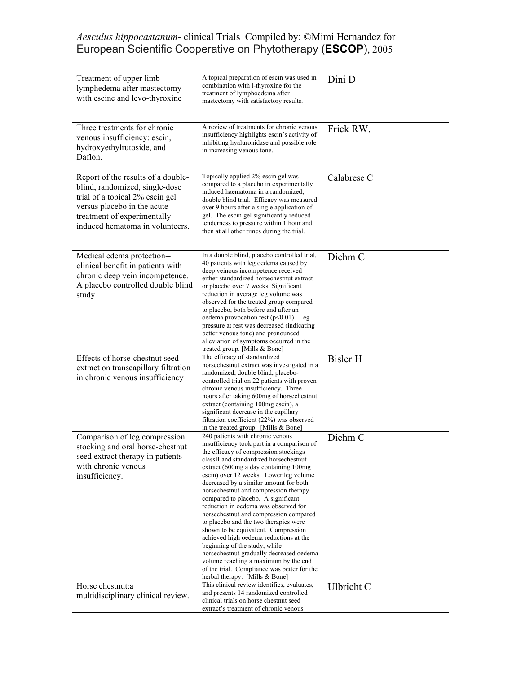| Treatment of upper limb<br>lymphedema after mastectomy<br>with escine and levo-thyroxine                                                                                                                  | A topical preparation of escin was used in<br>combination with l-thyroxine for the<br>treatment of lymphoedema after<br>mastectomy with satisfactory results.                                                                                                                                                                                                                                                                                                                                                                                                                                                                                                                                                                                                                                   | Dini D          |
|-----------------------------------------------------------------------------------------------------------------------------------------------------------------------------------------------------------|-------------------------------------------------------------------------------------------------------------------------------------------------------------------------------------------------------------------------------------------------------------------------------------------------------------------------------------------------------------------------------------------------------------------------------------------------------------------------------------------------------------------------------------------------------------------------------------------------------------------------------------------------------------------------------------------------------------------------------------------------------------------------------------------------|-----------------|
| Three treatments for chronic<br>venous insufficiency: escin,<br>hydroxyethylrutoside, and<br>Daflon.                                                                                                      | A review of treatments for chronic venous<br>insufficiency highlights escin's activity of<br>inhibiting hyaluronidase and possible role<br>in increasing venous tone.                                                                                                                                                                                                                                                                                                                                                                                                                                                                                                                                                                                                                           | Frick RW.       |
| Report of the results of a double-<br>blind, randomized, single-dose<br>trial of a topical 2% escin gel<br>versus placebo in the acute<br>treatment of experimentally-<br>induced hematoma in volunteers. | Topically applied 2% escin gel was<br>compared to a placebo in experimentally<br>induced haematoma in a randomized,<br>double blind trial. Efficacy was measured<br>over 9 hours after a single application of<br>gel. The escin gel significantly reduced<br>tenderness to pressure within 1 hour and<br>then at all other times during the trial.                                                                                                                                                                                                                                                                                                                                                                                                                                             | Calabrese C     |
| Medical edema protection--<br>clinical benefit in patients with<br>chronic deep vein incompetence.<br>A placebo controlled double blind<br>study                                                          | In a double blind, placebo controlled trial,<br>40 patients with leg oedema caused by<br>deep veinous incompetence received<br>either standardized horsechestnut extract<br>or placebo over 7 weeks. Significant<br>reduction in average leg volume was<br>observed for the treated group compared<br>to placebo, both before and after an<br>oedema provocation test ( $p<0.01$ ). Leg<br>pressure at rest was decreased (indicating<br>better venous tone) and pronounced<br>alleviation of symptoms occurred in the<br>treated group. [Mills & Bone]                                                                                                                                                                                                                                         | Diehm C         |
| Effects of horse-chestnut seed<br>extract on transcapillary filtration<br>in chronic venous insufficiency                                                                                                 | The efficacy of standardized<br>horsechest nut extract was investigated in a<br>randomized, double blind, placebo-<br>controlled trial on 22 patients with proven<br>chronic venous insufficiency. Three<br>hours after taking 600mg of horsechestnut<br>extract (containing 100mg escin), a<br>significant decrease in the capillary<br>filtration coefficient (22%) was observed<br>in the treated group. [Mills & Bone]                                                                                                                                                                                                                                                                                                                                                                      | <b>Bisler H</b> |
| Comparison of leg compression<br>stocking and oral horse-chestnut<br>seed extract therapy in patients<br>with chronic venous<br>insufficiency.                                                            | 240 patients with chronic venous<br>insufficiency took part in a comparison of<br>the efficacy of compression stockings<br>classII and standardized horsechestnut<br>extract (600mg a day containing 100mg<br>escin) over 12 weeks. Lower leg volume<br>decreased by a similar amount for both<br>horsechestnut and compression therapy<br>compared to placebo. A significant<br>reduction in oedema was observed for<br>horsechestnut and compression compared<br>to placebo and the two therapies were<br>shown to be equivalent. Compression<br>achieved high oedema reductions at the<br>beginning of the study, while<br>horsechestnut gradually decreased oedema<br>volume reaching a maximum by the end<br>of the trial. Compliance was better for the<br>herbal therapy. [Mills & Bone] | Diehm C         |
| Horse chestnut:a<br>multidisciplinary clinical review.                                                                                                                                                    | This clinical review identifies, evaluates,<br>and presents 14 randomized controlled<br>clinical trials on horse chestnut seed<br>extract's treatment of chronic venous                                                                                                                                                                                                                                                                                                                                                                                                                                                                                                                                                                                                                         | Ulbricht C      |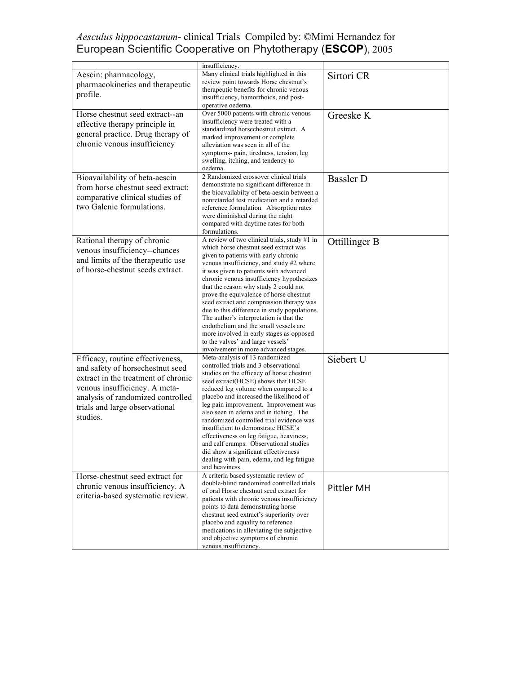|                                                                                                                                                                                                                                 | insufficiency.                                                                                                                                                                                                                                                                                                                                                                                                                                                                                                                                                                                                                                                |                  |
|---------------------------------------------------------------------------------------------------------------------------------------------------------------------------------------------------------------------------------|---------------------------------------------------------------------------------------------------------------------------------------------------------------------------------------------------------------------------------------------------------------------------------------------------------------------------------------------------------------------------------------------------------------------------------------------------------------------------------------------------------------------------------------------------------------------------------------------------------------------------------------------------------------|------------------|
| Aescin: pharmacology,<br>pharmacokinetics and therapeutic<br>profile.                                                                                                                                                           | Many clinical trials highlighted in this<br>review point towards Horse chestnut's<br>therapeutic benefits for chronic venous<br>insufficiency, hamorrhoids, and post-<br>operative oedema.                                                                                                                                                                                                                                                                                                                                                                                                                                                                    | Sirtori CR       |
| Horse chestnut seed extract--an<br>effective therapy principle in<br>general practice. Drug therapy of<br>chronic venous insufficiency                                                                                          | Over 5000 patients with chronic venous<br>insufficiency were treated with a<br>standardized horsechestnut extract. A<br>marked improvement or complete<br>alleviation was seen in all of the<br>symptoms- pain, tiredness, tension, leg<br>swelling, itching, and tendency to<br>oedema.                                                                                                                                                                                                                                                                                                                                                                      | Greeske K        |
| Bioavailability of beta-aescin<br>from horse chestnut seed extract:<br>comparative clinical studies of<br>two Galenic formulations.                                                                                             | 2 Randomized crossover clinical trials<br>demonstrate no significant difference in<br>the bioavailabilty of beta-aescin between a<br>nonretarded test medication and a retarded<br>reference formulation. Absorption rates<br>were diminished during the night<br>compared with daytime rates for both<br>formulations.                                                                                                                                                                                                                                                                                                                                       | <b>Bassler D</b> |
| Rational therapy of chronic<br>venous insufficiency--chances<br>and limits of the therapeutic use<br>of horse-chestnut seeds extract.                                                                                           | A review of two clinical trials, study #1 in<br>which horse chestnut seed extract was<br>given to patients with early chronic<br>venous insufficiency, and study #2 where<br>it was given to patients with advanced<br>chronic venous insufficiency hypothesizes<br>that the reason why study 2 could not<br>prove the equivalence of horse chestnut<br>seed extract and compression therapy was<br>due to this difference in study populations.<br>The author's interpretation is that the<br>endothelium and the small vessels are<br>more involved in early stages as opposed<br>to the valves' and large vessels'<br>involvement in more advanced stages. | Ottillinger B    |
| Efficacy, routine effectiveness,<br>and safety of horsechestnut seed<br>extract in the treatment of chronic<br>venous insufficiency. A meta-<br>analysis of randomized controlled<br>trials and large observational<br>studies. | Meta-analysis of 13 randomized<br>controlled trials and 3 observational<br>studies on the efficacy of horse chestnut<br>seed extract(HCSE) shows that HCSE<br>reduced leg volume when compared to a<br>placebo and increased the likelihood of<br>leg pain improvement. Improvement was<br>also seen in edema and in itching. The<br>randomized controlled trial evidence was<br>insufficient to demonstrate HCSE's<br>effectiveness on leg fatigue, heaviness,<br>and calf cramps. Observational studies<br>did show a significant effectiveness<br>dealing with pain, edema, and leg fatigue<br>and heaviness.                                              | Siebert U        |
| Horse-chestnut seed extract for<br>chronic venous insufficiency. A<br>criteria-based systematic review.                                                                                                                         | A criteria based systematic review of<br>double-blind randomized controlled trials<br>of oral Horse chestnut seed extract for<br>patients with chronic venous insufficiency<br>points to data demonstrating horse<br>chestnut seed extract's superiority over<br>placebo and equality to reference<br>medications in alleviating the subjective<br>and objective symptoms of chronic<br>venous insufficiency.                                                                                                                                                                                                                                                 | Pittler MH       |